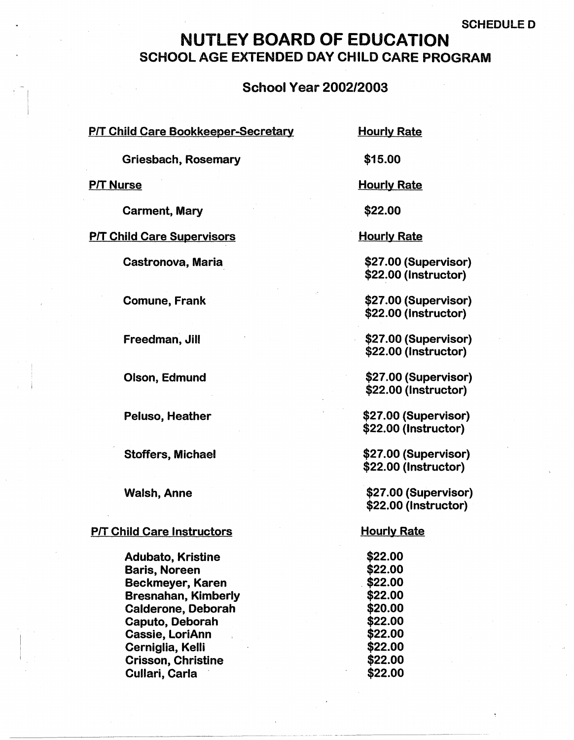#### SCHEDULED

# NUTLEY BOARD OF EDUCATION SCHOOL AGE EXTENDED DAY CHILD CARE PROGRAM

#### School Year 2002/2003

|  |  |  | <u>P/T Child Care Bookkeeper-Secretary</u> |
|--|--|--|--------------------------------------------|
|  |  |  |                                            |

Hourly Rate

Griesbach, Rosemary

**P/T Nurse** 

Carment, Mary

P/T Child Care Supervisors

Castronova, Maria

Comune, Frank

Freedman, Jill

Olson, Edmund

Peluso, Heather

Stoffers, Michael

Walsh, Anne

#### P/T Child Care Instructors

Adubato, Kristine Baris, Noreen Beckmeyer, Karen Bresnahan, Kimberly Calderone, Deborah Caputo, Deborah Cassie, LoriAnn Cerniglia, Kelli Crisson, Christine Cullari, Carla

\$15.00

Hourly Rate

**\$22.00** 

Hourly Rate

\$27 .00 (Supervisor) \$22~00 (Instructor)

\$27 .00 (Supervisor) \$22.00 (Instructor)

\$27.00 (Supervisor) \$22.00 (Instructor)

\$27 .00 (Supervisor) \$22.00 (Instructor)

\$27.00 (Supervisor) \$22.00 (Instructor)

\$27.00 (Supervisor) \$22.00 (Instructor)

\$27.00 (Supervisor) \$22.00 (Instructor)

**Hourly Rate** 

**\$22.00 \$22.00**  . \$22.00 **\$22.00 \$20.00 \$22.00 \$22.00 \$22.00 \$22.00 \$22.00**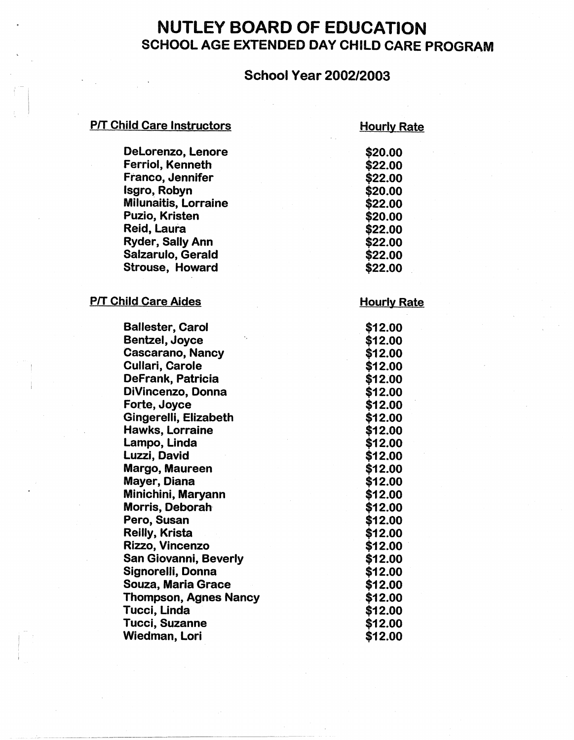# NUTLEY BOARD OF EDUCATION SCHOOL AGE EXTENDED DAY CHILD CARE PROGRAM

## School Year 2002/2003

#### **P/T Child Care Instructors**

# **Hourly Rate**

| DeLorenzo, Lenore            | \$20.00            |
|------------------------------|--------------------|
| <b>Ferriol, Kenneth</b>      | \$22.00            |
| Franco, Jennifer             | \$22.00            |
| Isgro, Robyn                 | \$20.00            |
| <b>Milunaitis, Lorraine</b>  | \$22.00            |
| Puzio, Kristen               | \$20.00            |
| Reid, Laura                  | \$22.00            |
| <b>Ryder, Sally Ann</b>      | \$22.00            |
| Salzarulo, Gerald            | \$22.00            |
| <b>Strouse, Howard</b>       | \$22.00            |
| <b>P/T Child Care Aides</b>  | <b>Hourly Rate</b> |
| <b>Ballester, Carol</b>      | \$12.00            |
| Bentzel, Joyce               | \$12.00            |
| Cascarano, Nancy             | \$12.00            |
| <b>Cullari, Carole</b>       | \$12.00            |
| DeFrank, Patricia            | \$12.00            |
| DiVincenzo, Donna            | \$12.00            |
| Forte, Joyce                 | \$12.00            |
| Gingerelli, Elizabeth        | \$12.00            |
| Hawks, Lorraine              | \$12.00            |
| Lampo, Linda                 | \$12.00            |
| Luzzi, David                 | \$12.00            |
| Margo, Maureen               | \$12.00            |
| Mayer, Diana                 | \$12.00            |
| Minichini, Maryann           | \$12.00            |
| Morris, Deborah              | \$12.00            |
| Pero, Susan                  | \$12.00            |
| Reilly, Krista               | \$12.00            |
| Rizzo, Vincenzo              | \$12.00            |
| San Giovanni, Beverly        | \$12.00            |
| Signorelli, Donna            | \$12.00            |
| <b>Souza, Maria Grace</b>    | \$12.00            |
| <b>Thompson, Agnes Nancy</b> | \$12.00            |
| Tucci, Linda                 | \$12.00            |
| <b>Tucci, Suzanne</b>        | \$12.00            |
| <b>Wiedman, Lori</b>         | \$12.00            |
|                              |                    |